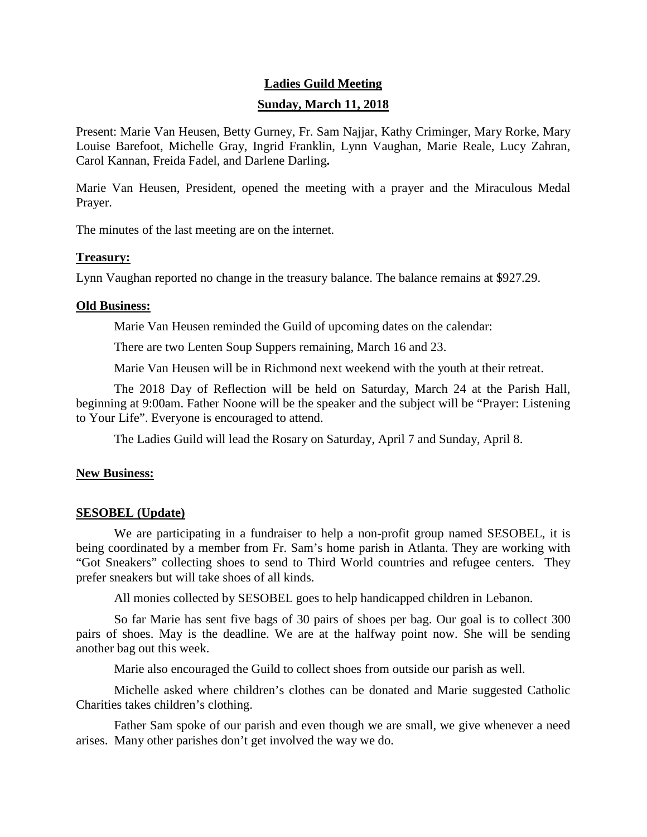# **Ladies Guild Meeting Sunday, March 11, 2018**

Present: Marie Van Heusen, Betty Gurney, Fr. Sam Najjar, Kathy Criminger, Mary Rorke, Mary Louise Barefoot, Michelle Gray, Ingrid Franklin, Lynn Vaughan, Marie Reale, Lucy Zahran, Carol Kannan, Freida Fadel, and Darlene Darling**.**

Marie Van Heusen, President, opened the meeting with a prayer and the Miraculous Medal Prayer.

The minutes of the last meeting are on the internet.

## **Treasury:**

Lynn Vaughan reported no change in the treasury balance. The balance remains at \$927.29.

## **Old Business:**

Marie Van Heusen reminded the Guild of upcoming dates on the calendar:

There are two Lenten Soup Suppers remaining, March 16 and 23.

Marie Van Heusen will be in Richmond next weekend with the youth at their retreat.

The 2018 Day of Reflection will be held on Saturday, March 24 at the Parish Hall, beginning at 9:00am. Father Noone will be the speaker and the subject will be "Prayer: Listening to Your Life". Everyone is encouraged to attend.

The Ladies Guild will lead the Rosary on Saturday, April 7 and Sunday, April 8.

# **New Business:**

# **SESOBEL (Update)**

We are participating in a fundraiser to help a non-profit group named SESOBEL, it is being coordinated by a member from Fr. Sam's home parish in Atlanta. They are working with "Got Sneakers" collecting shoes to send to Third World countries and refugee centers. They prefer sneakers but will take shoes of all kinds.

All monies collected by SESOBEL goes to help handicapped children in Lebanon.

So far Marie has sent five bags of 30 pairs of shoes per bag. Our goal is to collect 300 pairs of shoes. May is the deadline. We are at the halfway point now. She will be sending another bag out this week.

Marie also encouraged the Guild to collect shoes from outside our parish as well.

Michelle asked where children's clothes can be donated and Marie suggested Catholic Charities takes children's clothing.

Father Sam spoke of our parish and even though we are small, we give whenever a need arises. Many other parishes don't get involved the way we do.